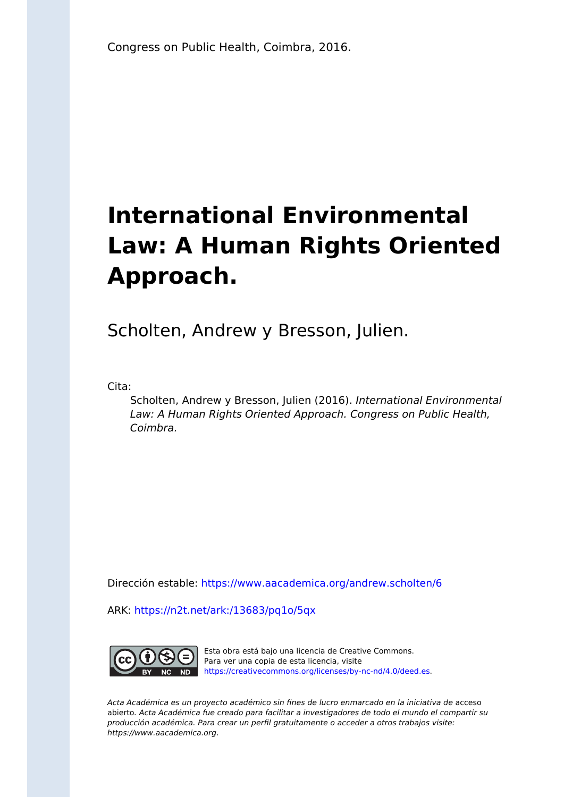## **International Environmental Law: A Human Rights Oriented Approach.**

Scholten, Andrew y Bresson, Julien.

Cita:

Scholten, Andrew y Bresson, Julien (2016). International Environmental Law: A Human Rights Oriented Approach. Congress on Public Health, Coimbra.

Dirección estable:<https://www.aacademica.org/andrew.scholten/6>

ARK: <https://n2t.net/ark:/13683/pq1o/5qx>



Esta obra está bajo una licencia de Creative Commons. Para ver una copia de esta licencia, visite [https://creativecommons.org/licenses/by-nc-nd/4.0/deed.es.](https://creativecommons.org/licenses/by-nc-nd/4.0/deed.es)

Acta Académica es un proyecto académico sin fines de lucro enmarcado en la iniciativa de acceso abierto. Acta Académica fue creado para facilitar a investigadores de todo el mundo el compartir su producción académica. Para crear un perfil gratuitamente o acceder a otros trabajos visite: https://www.aacademica.org.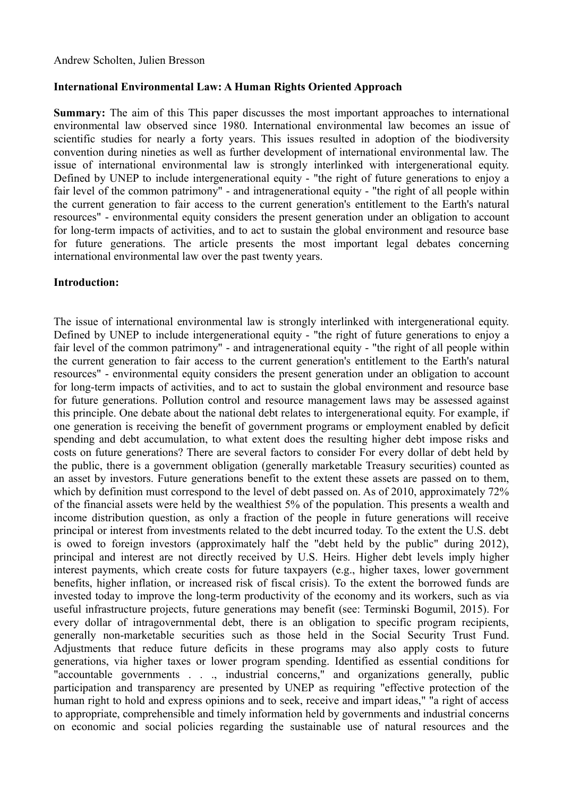## **International Environmental Law: A Human Rights Oriented Approach**

**Summary:** The aim of this This paper discusses the most important approaches to international environmental law observed since 1980. International environmental law becomes an issue of scientific studies for nearly a forty years. This issues resulted in adoption of the biodiversity convention during nineties as well as further development of international environmental law. The issue of international environmental law is strongly interlinked with intergenerational equity. Defined by UNEP to include intergenerational equity - "the right of future generations to enjoy a fair level of the common patrimony" - and intragenerational equity - "the right of all people within the current generation to fair access to the current generation's entitlement to the Earth's natural resources" - environmental equity considers the present generation under an obligation to account for long-term impacts of activities, and to act to sustain the global environment and resource base for future generations. The article presents the most important legal debates concerning international environmental law over the past twenty years.

## **Introduction:**

The issue of international environmental law is strongly interlinked with intergenerational equity. Defined by UNEP to include intergenerational equity - "the right of future generations to enjoy a fair level of the common patrimony" - and intragenerational equity - "the right of all people within the current generation to fair access to the current generation's entitlement to the Earth's natural resources" - environmental equity considers the present generation under an obligation to account for long-term impacts of activities, and to act to sustain the global environment and resource base for future generations. Pollution control and resource management laws may be assessed against this principle. One debate about the national debt relates to intergenerational equity. For example, if one generation is receiving the benefit of government programs or employment enabled by deficit spending and debt accumulation, to what extent does the resulting higher debt impose risks and costs on future generations? There are several factors to consider For every dollar of debt held by the public, there is a government obligation (generally marketable Treasury securities) counted as an asset by investors. Future generations benefit to the extent these assets are passed on to them, which by definition must correspond to the level of debt passed on. As of 2010, approximately 72% of the financial assets were held by the wealthiest 5% of the population. This presents a wealth and income distribution question, as only a fraction of the people in future generations will receive principal or interest from investments related to the debt incurred today. To the extent the U.S. debt is owed to foreign investors (approximately half the "debt held by the public" during 2012), principal and interest are not directly received by U.S. Heirs. Higher debt levels imply higher interest payments, which create costs for future taxpayers (e.g., higher taxes, lower government benefits, higher inflation, or increased risk of fiscal crisis). To the extent the borrowed funds are invested today to improve the long-term productivity of the economy and its workers, such as via useful infrastructure projects, future generations may benefit (see: Terminski Bogumil, 2015). For every dollar of intragovernmental debt, there is an obligation to specific program recipients, generally non-marketable securities such as those held in the Social Security Trust Fund. Adjustments that reduce future deficits in these programs may also apply costs to future generations, via higher taxes or lower program spending. Identified as essential conditions for "accountable governments . . ., industrial concerns," and organizations generally, public participation and transparency are presented by UNEP as requiring "effective protection of the human right to hold and express opinions and to seek, receive and impart ideas," "a right of access to appropriate, comprehensible and timely information held by governments and industrial concerns on economic and social policies regarding the sustainable use of natural resources and the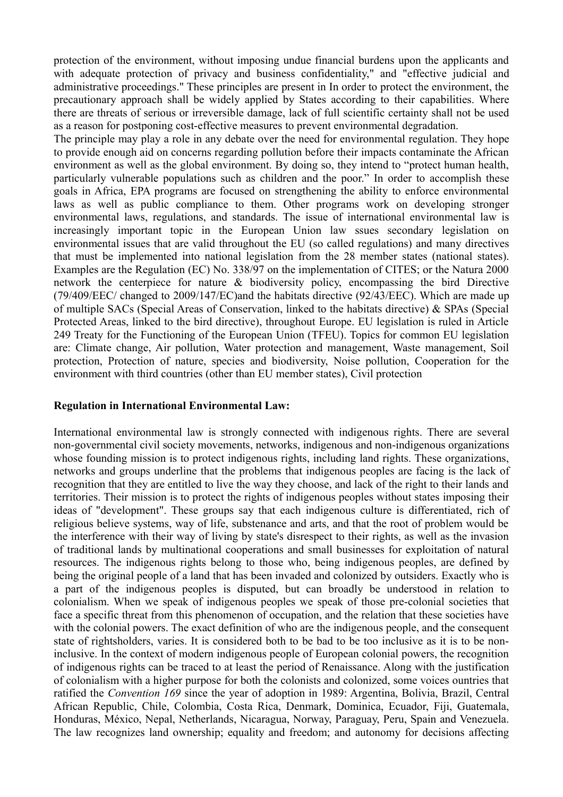protection of the environment, without imposing undue financial burdens upon the applicants and with adequate protection of privacy and business confidentiality," and "effective judicial and administrative proceedings." These principles are present in In order to protect the environment, the precautionary approach shall be widely applied by States according to their capabilities. Where there are threats of serious or irreversible damage, lack of full scientific certainty shall not be used as a reason for postponing cost-effective measures to prevent environmental degradation.

The principle may play a role in any debate over the need for environmental regulation. They hope to provide enough aid on concerns regarding pollution before their impacts contaminate the African environment as well as the global environment. By doing so, they intend to "protect human health, particularly vulnerable populations such as children and the poor." In order to accomplish these goals in Africa, EPA programs are focused on strengthening the ability to enforce environmental laws as well as public compliance to them. Other programs work on developing stronger environmental laws, regulations, and standards. The issue of international environmental law is increasingly important topic in the European Union law ssues secondary legislation on environmental issues that are valid throughout the EU (so called regulations) and many directives that must be implemented into national legislation from the 28 member states (national states). Examples are the Regulation (EC) No. 338/97 on the implementation of CITES; or the Natura 2000 network the centerpiece for nature & biodiversity policy, encompassing the bird Directive (79/409/EEC/ changed to 2009/147/EC)and the habitats directive (92/43/EEC). Which are made up of multiple SACs (Special Areas of Conservation, linked to the habitats directive) & SPAs (Special Protected Areas, linked to the bird directive), throughout Europe. EU legislation is ruled in Article 249 Treaty for the Functioning of the European Union (TFEU). Topics for common EU legislation are: Climate change, Air pollution, Water protection and management, Waste management, Soil protection, Protection of nature, species and biodiversity, Noise pollution, Cooperation for the environment with third countries (other than EU member states), Civil protection

## **Regulation in International Environmental Law:**

International environmental law is strongly connected with indigenous rights. There are several non-governmental civil society movements, networks, indigenous and non-indigenous organizations whose founding mission is to protect indigenous rights, including land rights. These organizations, networks and groups underline that the problems that indigenous peoples are facing is the lack of recognition that they are entitled to live the way they choose, and lack of the right to their lands and territories. Their mission is to protect the rights of indigenous peoples without states imposing their ideas of "development". These groups say that each indigenous culture is differentiated, rich of religious believe systems, way of life, substenance and arts, and that the root of problem would be the interference with their way of living by state's disrespect to their rights, as well as the invasion of traditional lands by multinational cooperations and small businesses for exploitation of natural resources. The indigenous rights belong to those who, being indigenous peoples, are defined by being the original people of a land that has been invaded and colonized by outsiders. Exactly who is a part of the indigenous peoples is disputed, but can broadly be understood in relation to colonialism. When we speak of indigenous peoples we speak of those pre-colonial societies that face a specific threat from this phenomenon of occupation, and the relation that these societies have with the colonial powers. The exact definition of who are the indigenous people, and the consequent state of rightsholders, varies. It is considered both to be bad to be too inclusive as it is to be noninclusive. In the context of modern indigenous people of European colonial powers, the recognition of indigenous rights can be traced to at least the period of Renaissance. Along with the justification of colonialism with a higher purpose for both the colonists and colonized, some voices ountries that ratified the *Convention 169* since the year of adoption in 1989: Argentina, Bolivia, Brazil, Central African Republic, Chile, Colombia, Costa Rica, Denmark, Dominica, Ecuador, Fiji, Guatemala, Honduras, México, Nepal, Netherlands, Nicaragua, Norway, Paraguay, Peru, Spain and Venezuela. The law recognizes land ownership; equality and freedom; and autonomy for decisions affecting